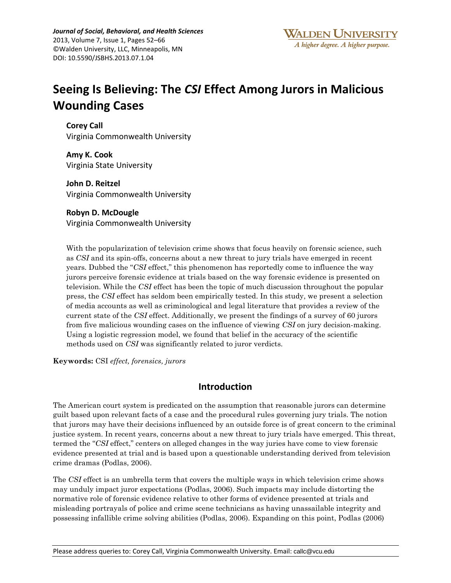*Journal of Social, Behavioral, and Health Sciences* 2013, Volume 7, Issue 1, Pages 52–66 ©Walden University, LLC, Minneapolis, MN DOI: 10.5590/JSBHS.2013.07.1.04

# **Seeing Is Believing: The** *CSI* **Effect Among Jurors in Malicious Wounding Cases**

**[Corey Call](javascript:popUp()** Virginia Commonwealth University

**[Amy K. Cook](javascript:popUp()** Virginia State University

**[John D. Reitzel](javascript:popUp()** Virginia Commonwealth University

# **[Robyn D. McDougle](javascript:popUp()**

Virginia Commonwealth University

With the popularization of television crime shows that focus heavily on forensic science, such as *CSI* and its spin-offs, concerns about a new threat to jury trials have emerged in recent years. Dubbed the "*CSI* effect," this phenomenon has reportedly come to influence the way jurors perceive forensic evidence at trials based on the way forensic evidence is presented on television. While the *CSI* effect has been the topic of much discussion throughout the popular press, the *CSI* effect has seldom been empirically tested. In this study, we present a selection of media accounts as well as criminological and legal literature that provides a review of the current state of the *CSI* effect. Additionally, we present the findings of a survey of 60 jurors from five malicious wounding cases on the influence of viewing *CSI* on jury decision-making. Using a logistic regression model, we found that belief in the accuracy of the scientific methods used on *CSI* was significantly related to juror verdicts.

**Keywords:** CSI *effect, forensics, jurors*

# **Introduction**

The American court system is predicated on the assumption that reasonable jurors can determine guilt based upon relevant facts of a case and the procedural rules governing jury trials. The notion that jurors may have their decisions influenced by an outside force is of great concern to the criminal justice system. In recent years, concerns about a new threat to jury trials have emerged. This threat, termed the "*CSI* effect," centers on alleged changes in the way juries have come to view forensic evidence presented at trial and is based upon a questionable understanding derived from television crime dramas (Podlas, 2006).

The *CSI* effect is an umbrella term that covers the multiple ways in which television crime shows may unduly impact juror expectations (Podlas, 2006). Such impacts may include distorting the normative role of forensic evidence relative to other forms of evidence presented at trials and misleading portrayals of police and crime scene technicians as having unassailable integrity and possessing infallible crime solving abilities (Podlas, 2006). Expanding on this point, Podlas (2006)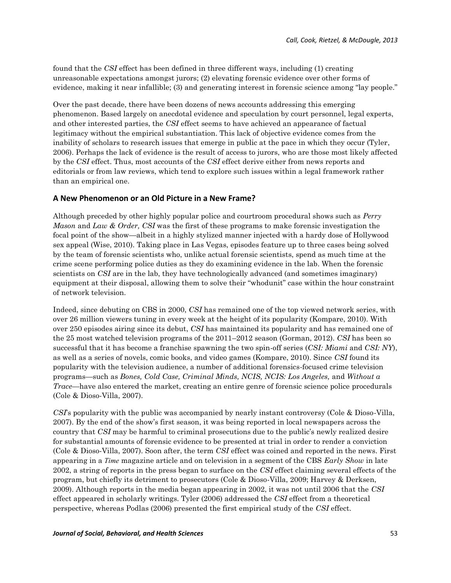found that the *CSI* effect has been defined in three different ways, including (1) creating unreasonable expectations amongst jurors; (2) elevating forensic evidence over other forms of evidence, making it near infallible; (3) and generating interest in forensic science among "lay people."

Over the past decade, there have been dozens of news accounts addressing this emerging phenomenon. Based largely on anecdotal evidence and speculation by court personnel, legal experts, and other interested parties, the *CSI* effect seems to have achieved an appearance of factual legitimacy without the empirical substantiation. This lack of objective evidence comes from the inability of scholars to research issues that emerge in public at the pace in which they occur (Tyler, 2006). Perhaps the lack of evidence is the result of access to jurors, who are those most likely affected by the *CSI* effect. Thus, most accounts of the *CSI* effect derive either from news reports and editorials or from law reviews, which tend to explore such issues within a legal framework rather than an empirical one.

#### **A New Phenomenon or an Old Picture in a New Frame?**

Although preceded by other highly popular police and courtroom procedural shows such as *Perry Mason* and *Law & Order, CSI* was the first of these programs to make forensic investigation the focal point of the show—albeit in a highly stylized manner injected with a hardy dose of Hollywood sex appeal (Wise, 2010). Taking place in Las Vegas, episodes feature up to three cases being solved by the team of forensic scientists who, unlike actual forensic scientists, spend as much time at the crime scene performing police duties as they do examining evidence in the lab. When the forensic scientists on *CSI* are in the lab, they have technologically advanced (and sometimes imaginary) equipment at their disposal, allowing them to solve their "whodunit" case within the hour constraint of network television.

Indeed, since debuting on CBS in 2000, *CSI* has remained one of the top viewed network series, with over 26 million viewers tuning in every week at the height of its popularity (Kompare, 2010). With over 250 episodes airing since its debut, *CSI* has maintained its popularity and has remained one of the 25 most watched television programs of the 2011–2012 season (Gorman, 2012). *CSI* has been so successful that it has become a franchise spawning the two spin-off series (*CSI: Miami* and *CSI: NY*), as well as a series of novels, comic books, and video games (Kompare, 2010). Since *CSI* found its popularity with the television audience, a number of additional forensics-focused crime television programs—such as *Bones, Cold Case, Criminal Minds, NCIS, NCIS: Los Angeles,* and *Without a Trace*—have also entered the market, creating an entire genre of forensic science police procedurals (Cole & Dioso-Villa, 2007).

*CSI*'s popularity with the public was accompanied by nearly instant controversy (Cole & Dioso-Villa, 2007). By the end of the show's first season, it was being reported in local newspapers across the country that *CSI* may be harmful to criminal prosecutions due to the public's newly realized desire for substantial amounts of forensic evidence to be presented at trial in order to render a conviction (Cole & Dioso-Villa, 2007). Soon after, the term *CSI* effect was coined and reported in the news. First appearing in a *Time* magazine article and on television in a segment of the CBS *Early Show* in late 2002, a string of reports in the press began to surface on the *CSI* effect claiming several effects of the program, but chiefly its detriment to prosecutors (Cole & Dioso-Villa, 2009; Harvey & Derksen, 2009). Although reports in the media began appearing in 2002, it was not until 2006 that the *CSI* effect appeared in scholarly writings. Tyler (2006) addressed the *CSI* effect from a theoretical perspective, whereas Podlas (2006) presented the first empirical study of the *CSI* effect.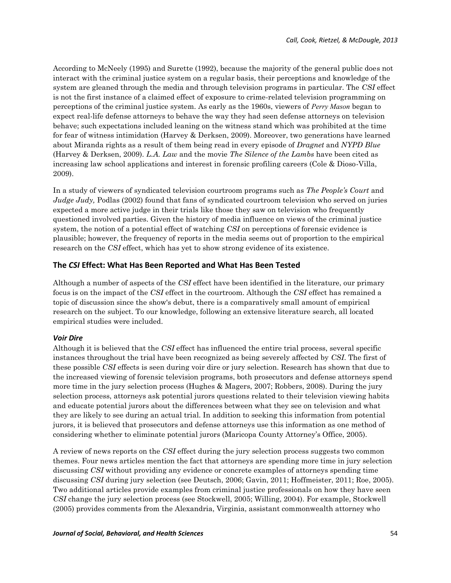According to McNeely (1995) and Surette (1992), because the majority of the general public does not interact with the criminal justice system on a regular basis, their perceptions and knowledge of the system are gleaned through the media and through television programs in particular. The *CSI* effect is not the first instance of a claimed effect of exposure to crime-related television programming on perceptions of the criminal justice system. As early as the 1960s, viewers of *Perry Mason* began to expect real-life defense attorneys to behave the way they had seen defense attorneys on television behave; such expectations included leaning on the witness stand which was prohibited at the time for fear of witness intimidation (Harvey & Derksen, 2009). Moreover, two generations have learned about Miranda rights as a result of them being read in every episode of *Dragnet* and *NYPD Blue* (Harvey & Derksen, 2009). *L.A. Law* and the movie *The Silence of the Lambs* have been cited as increasing law school applications and interest in forensic profiling careers (Cole & Dioso-Villa, 2009).

In a study of viewers of syndicated television courtroom programs such as *The People's Court* and *Judge Judy,* Podlas (2002) found that fans of syndicated courtroom television who served on juries expected a more active judge in their trials like those they saw on television who frequently questioned involved parties. Given the history of media influence on views of the criminal justice system, the notion of a potential effect of watching *CSI* on perceptions of forensic evidence is plausible; however, the frequency of reports in the media seems out of proportion to the empirical research on the *CSI* effect, which has yet to show strong evidence of its existence.

#### **The** *CSI* **Effect: What Has Been Reported and What Has Been Tested**

Although a number of aspects of the *CSI* effect have been identified in the literature, our primary focus is on the impact of the *CSI* effect in the courtroom. Although the *CSI* effect has remained a topic of discussion since the show's debut, there is a comparatively small amount of empirical research on the subject. To our knowledge, following an extensive literature search, all located empirical studies were included.

#### *Voir Dire*

Although it is believed that the *CSI* effect has influenced the entire trial process, several specific instances throughout the trial have been recognized as being severely affected by *CSI*. The first of these possible *CSI* effects is seen during voir dire or jury selection. Research has shown that due to the increased viewing of forensic television programs, both prosecutors and defense attorneys spend more time in the jury selection process (Hughes & Magers, 2007; Robbers, 2008). During the jury selection process, attorneys ask potential jurors questions related to their television viewing habits and educate potential jurors about the differences between what they see on television and what they are likely to see during an actual trial. In addition to seeking this information from potential jurors, it is believed that prosecutors and defense attorneys use this information as one method of considering whether to eliminate potential jurors (Maricopa County Attorney's Office, 2005).

A review of news reports on the *CSI* effect during the jury selection process suggests two common themes. Four news articles mention the fact that attorneys are spending more time in jury selection discussing *CSI* without providing any evidence or concrete examples of attorneys spending time discussing *CSI* during jury selection (see Deutsch, 2006; Gavin, 2011; Hoffmeister, 2011; Roe, 2005). Two additional articles provide examples from criminal justice professionals on how they have seen *CSI* change the jury selection process (see Stockwell, 2005; Willing, 2004). For example, Stockwell (2005) provides comments from the Alexandria, Virginia, assistant commonwealth attorney who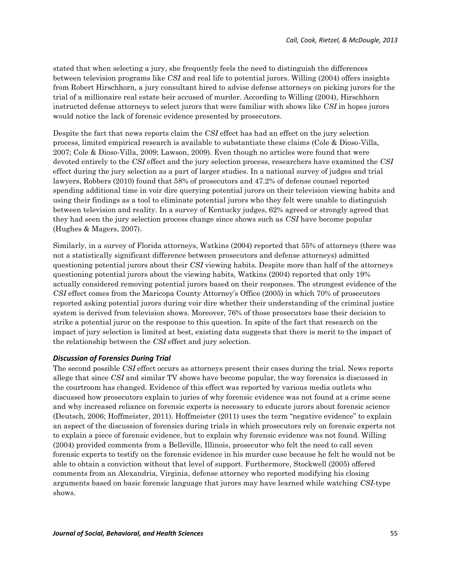stated that when selecting a jury, she frequently feels the need to distinguish the differences between television programs like *CSI* and real life to potential jurors. Willing (2004) offers insights from Robert Hirschhorn, a jury consultant hired to advise defense attorneys on picking jurors for the trial of a millionaire real estate heir accused of murder. According to Willing (2004), Hirschhorn instructed defense attorneys to select jurors that were familiar with shows like *CSI* in hopes jurors would notice the lack of forensic evidence presented by prosecutors.

Despite the fact that news reports claim the *CSI* effect has had an effect on the jury selection process, limited empirical research is available to substantiate these claims (Cole & Dioso-Villa, 2007; Cole & Dioso-Villa, 2009; Lawson, 2009). Even though no articles were found that were devoted entirely to the *CSI* effect and the jury selection process, researchers have examined the *CSI* effect during the jury selection as a part of larger studies. In a national survey of judges and trial lawyers, Robbers (2010) found that 58% of prosecutors and 47.2% of defense counsel reported spending additional time in voir dire querying potential jurors on their television viewing habits and using their findings as a tool to eliminate potential jurors who they felt were unable to distinguish between television and reality. In a survey of Kentucky judges, 62% agreed or strongly agreed that they had seen the jury selection process change since shows such as *CSI* have become popular (Hughes & Magers, 2007).

Similarly, in a survey of Florida attorneys, Watkins (2004) reported that 55% of attorneys (there was not a statistically significant difference between prosecutors and defense attorneys) admitted questioning potential jurors about their *CSI* viewing habits. Despite more than half of the attorneys questioning potential jurors about the viewing habits, Watkins (2004) reported that only 19% actually considered removing potential jurors based on their responses. The strongest evidence of the *CSI* effect comes from the Maricopa County Attorney's Office (2005) in which 70% of prosecutors reported asking potential jurors during voir dire whether their understanding of the criminal justice system is derived from television shows. Moreover, 76% of those prosecutors base their decision to strike a potential juror on the response to this question. In spite of the fact that research on the impact of jury selection is limited at best, existing data suggests that there is merit to the impact of the relationship between the *CSI* effect and jury selection.

#### *Discussion of Forensics During Trial*

The second possible *CSI* effect occurs as attorneys present their cases during the trial. News reports allege that since *CSI* and similar TV shows have become popular, the way forensics is discussed in the courtroom has changed. Evidence of this effect was reported by various media outlets who discussed how prosecutors explain to juries of why forensic evidence was not found at a crime scene and why increased reliance on forensic experts is necessary to educate jurors about forensic science (Deutsch, 2006; Hoffmeister, 2011). Hoffmeister (2011) uses the term "negative evidence" to explain an aspect of the discussion of forensics during trials in which prosecutors rely on forensic experts not to explain a piece of forensic evidence, but to explain why forensic evidence was not found. Willing (2004) provided comments from a Belleville, Illinois, prosecutor who felt the need to call seven forensic experts to testify on the forensic evidence in his murder case because he felt he would not be able to obtain a conviction without that level of support. Furthermore, Stockwell (2005) offered comments from an Alexandria, Virginia, defense attorney who reported modifying his closing arguments based on basic forensic language that jurors may have learned while watching *CSI-*type shows.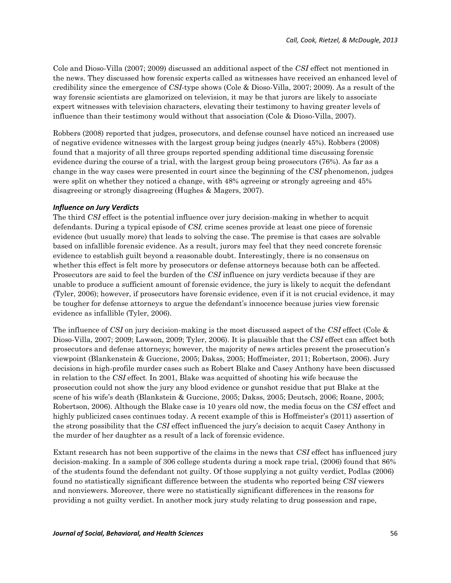Cole and Dioso-Villa (2007; 2009) discussed an additional aspect of the *CSI* effect not mentioned in the news. They discussed how forensic experts called as witnesses have received an enhanced level of credibility since the emergence of *CSI*-type shows (Cole & Dioso-Villa, 2007; 2009). As a result of the way forensic scientists are glamorized on television, it may be that jurors are likely to associate expert witnesses with television characters, elevating their testimony to having greater levels of influence than their testimony would without that association (Cole & Dioso-Villa, 2007).

Robbers (2008) reported that judges, prosecutors, and defense counsel have noticed an increased use of negative evidence witnesses with the largest group being judges (nearly 45%). Robbers (2008) found that a majority of all three groups reported spending additional time discussing forensic evidence during the course of a trial, with the largest group being prosecutors (76%). As far as a change in the way cases were presented in court since the beginning of the *CSI* phenomenon, judges were split on whether they noticed a change, with 48% agreeing or strongly agreeing and 45% disagreeing or strongly disagreeing (Hughes & Magers, 2007).

#### *Influence on Jury Verdicts*

The third *CSI* effect is the potential influence over jury decision-making in whether to acquit defendants. During a typical episode of *CSI,* crime scenes provide at least one piece of forensic evidence (but usually more) that leads to solving the case. The premise is that cases are solvable based on infallible forensic evidence. As a result, jurors may feel that they need concrete forensic evidence to establish guilt beyond a reasonable doubt. Interestingly, there is no consensus on whether this effect is felt more by prosecutors or defense attorneys because both can be affected. Prosecutors are said to feel the burden of the *CSI* influence on jury verdicts because if they are unable to produce a sufficient amount of forensic evidence, the jury is likely to acquit the defendant (Tyler, 2006); however, if prosecutors have forensic evidence, even if it is not crucial evidence, it may be tougher for defense attorneys to argue the defendant's innocence because juries view forensic evidence as infallible (Tyler, 2006).

The influence of *CSI* on jury decision-making is the most discussed aspect of the *CSI* effect (Cole & Dioso-Villa, 2007; 2009; Lawson, 2009; Tyler, 2006). It is plausible that the *CSI* effect can affect both prosecutors and defense attorneys; however, the majority of news articles present the prosecution's viewpoint (Blankenstein & Guccione, 2005; Dakss, 2005; Hoffmeister, 2011; Robertson, 2006). Jury decisions in high-profile murder cases such as Robert Blake and Casey Anthony have been discussed in relation to the *CSI* effect*.* In 2001, Blake was acquitted of shooting his wife because the prosecution could not show the jury any blood evidence or gunshot residue that put Blake at the scene of his wife's death (Blankstein & Guccione, 2005; Dakss, 2005; Deutsch, 2006; Roane, 2005; Robertson, 2006). Although the Blake case is 10 years old now, the media focus on the *CSI* effect and highly publicized cases continues today. A recent example of this is Hoffmeister's (2011) assertion of the strong possibility that the *CSI* effect influenced the jury's decision to acquit Casey Anthony in the murder of her daughter as a result of a lack of forensic evidence.

Extant research has not been supportive of the claims in the news that *CSI* effect has influenced jury decision-making. In a sample of 306 college students during a mock rape trial, (2006) found that 86% of the students found the defendant not guilty. Of those supplying a not guilty verdict, Podlas (2006) found no statistically significant difference between the students who reported being *CSI* viewers and nonviewers. Moreover, there were no statistically significant differences in the reasons for providing a not guilty verdict. In another mock jury study relating to drug possession and rape,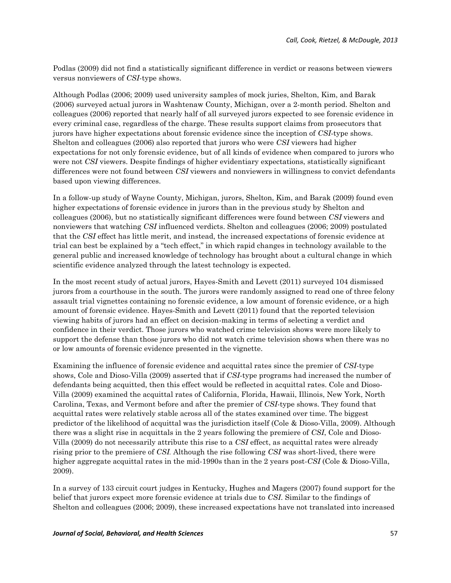Podlas (2009) did not find a statistically significant difference in verdict or reasons between viewers versus nonviewers of *CSI*-type shows.

Although Podlas (2006; 2009) used university samples of mock juries, Shelton, Kim, and Barak (2006) surveyed actual jurors in Washtenaw County, Michigan, over a 2-month period. Shelton and colleagues (2006) reported that nearly half of all surveyed jurors expected to see forensic evidence in every criminal case, regardless of the charge. These results support claims from prosecutors that jurors have higher expectations about forensic evidence since the inception of *CSI-*type shows. Shelton and colleagues (2006) also reported that jurors who were *CSI* viewers had higher expectations for not only forensic evidence, but of all kinds of evidence when compared to jurors who were not *CSI* viewers. Despite findings of higher evidentiary expectations, statistically significant differences were not found between *CSI* viewers and nonviewers in willingness to convict defendants based upon viewing differences.

In a follow-up study of Wayne County, Michigan, jurors, Shelton, Kim, and Barak (2009) found even higher expectations of forensic evidence in jurors than in the previous study by Shelton and colleagues (2006), but no statistically significant differences were found between *CSI* viewers and nonviewers that watching *CSI* influenced verdicts. Shelton and colleagues (2006; 2009) postulated that the *CSI* effect has little merit, and instead, the increased expectations of forensic evidence at trial can best be explained by a "tech effect," in which rapid changes in technology available to the general public and increased knowledge of technology has brought about a cultural change in which scientific evidence analyzed through the latest technology is expected.

In the most recent study of actual jurors, Hayes-Smith and Levett (2011) surveyed 104 dismissed jurors from a courthouse in the south. The jurors were randomly assigned to read one of three felony assault trial vignettes containing no forensic evidence, a low amount of forensic evidence, or a high amount of forensic evidence. Hayes-Smith and Levett (2011) found that the reported television viewing habits of jurors had an effect on decision-making in terms of selecting a verdict and confidence in their verdict. Those jurors who watched crime television shows were more likely to support the defense than those jurors who did not watch crime television shows when there was no or low amounts of forensic evidence presented in the vignette.

Examining the influence of forensic evidence and acquittal rates since the premier of *CSI*-type shows, Cole and Dioso-Villa (2009) asserted that if *CSI-*type programs had increased the number of defendants being acquitted, then this effect would be reflected in acquittal rates. Cole and Dioso-Villa (2009) examined the acquittal rates of California, Florida, Hawaii, Illinois, New York, North Carolina, Texas, and Vermont before and after the premier of *CSI*-type shows. They found that acquittal rates were relatively stable across all of the states examined over time. The biggest predictor of the likelihood of acquittal was the jurisdiction itself (Cole & Dioso-Villa, 2009). Although there was a slight rise in acquittals in the 2 years following the premiere of *CSI*, Cole and Dioso-Villa (2009) do not necessarily attribute this rise to a *CSI* effect, as acquittal rates were already rising prior to the premiere of *CSI.* Although the rise following *CSI* was short-lived, there were higher aggregate acquittal rates in the mid-1990s than in the 2 years post-*CSI* (Cole & Dioso-Villa, 2009).

In a survey of 133 circuit court judges in Kentucky, Hughes and Magers (2007) found support for the belief that jurors expect more forensic evidence at trials due to *CSI*. Similar to the findings of Shelton and colleagues (2006; 2009), these increased expectations have not translated into increased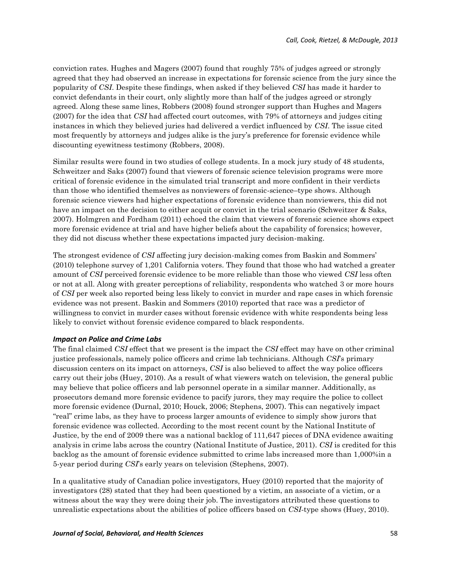conviction rates. Hughes and Magers (2007) found that roughly 75% of judges agreed or strongly agreed that they had observed an increase in expectations for forensic science from the jury since the popularity of *CSI*. Despite these findings, when asked if they believed *CSI* has made it harder to convict defendants in their court, only slightly more than half of the judges agreed or strongly agreed. Along these same lines, Robbers (2008) found stronger support than Hughes and Magers (2007) for the idea that *CSI* had affected court outcomes, with 79% of attorneys and judges citing instances in which they believed juries had delivered a verdict influenced by *CSI*. The issue cited most frequently by attorneys and judges alike is the jury's preference for forensic evidence while discounting eyewitness testimony (Robbers, 2008).

Similar results were found in two studies of college students. In a mock jury study of 48 students, Schweitzer and Saks (2007) found that viewers of forensic science television programs were more critical of forensic evidence in the simulated trial transcript and more confident in their verdicts than those who identified themselves as nonviewers of forensic-science–type shows. Although forensic science viewers had higher expectations of forensic evidence than nonviewers, this did not have an impact on the decision to either acquit or convict in the trial scenario (Schweitzer & Saks, 2007). Holmgren and Fordham (2011) echoed the claim that viewers of forensic science shows expect more forensic evidence at trial and have higher beliefs about the capability of forensics; however, they did not discuss whether these expectations impacted jury decision-making.

The strongest evidence of *CSI* affecting jury decision-making comes from Baskin and Sommers' (2010) telephone survey of 1,201 California voters. They found that those who had watched a greater amount of *CSI* perceived forensic evidence to be more reliable than those who viewed *CSI* less often or not at all. Along with greater perceptions of reliability, respondents who watched 3 or more hours of *CSI* per week also reported being less likely to convict in murder and rape cases in which forensic evidence was not present. Baskin and Sommers (2010) reported that race was a predictor of willingness to convict in murder cases without forensic evidence with white respondents being less likely to convict without forensic evidence compared to black respondents.

#### *Impact on Police and Crime Labs*

The final claimed *CSI* effect that we present is the impact the *CSI* effect may have on other criminal justice professionals, namely police officers and crime lab technicians. Although *CSI*'s primary discussion centers on its impact on attorneys, *CSI* is also believed to affect the way police officers carry out their jobs (Huey, 2010). As a result of what viewers watch on television, the general public may believe that police officers and lab personnel operate in a similar manner. Additionally, as prosecutors demand more forensic evidence to pacify jurors, they may require the police to collect more forensic evidence (Durnal, 2010; Houck, 2006; Stephens, 2007). This can negatively impact "real" crime labs, as they have to process larger amounts of evidence to simply show jurors that forensic evidence was collected. According to the most recent count by the National Institute of Justice, by the end of 2009 there was a national backlog of 111,647 pieces of DNA evidence awaiting analysis in crime labs across the country (National Institute of Justice, 2011). *CSI* is credited for this backlog as the amount of forensic evidence submitted to crime labs increased more than 1,000%in a 5-year period during *CSI*'s early years on television (Stephens, 2007).

In a qualitative study of Canadian police investigators, Huey (2010) reported that the majority of investigators (28) stated that they had been questioned by a victim, an associate of a victim, or a witness about the way they were doing their job. The investigators attributed these questions to unrealistic expectations about the abilities of police officers based on *CSI-*type shows (Huey, 2010).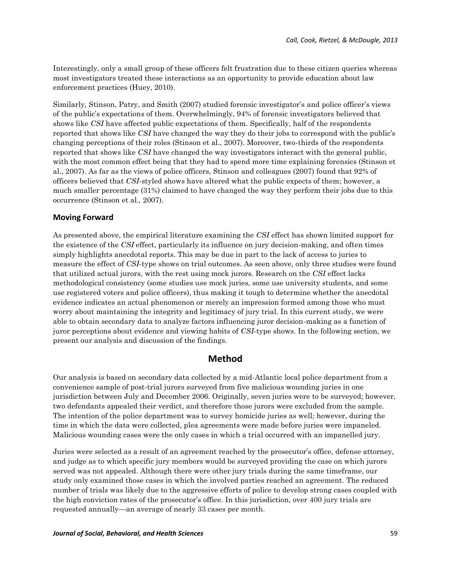Interestingly, only a small group of these officers felt frustration due to these citizen queries whereas most investigators treated these interactions as an opportunity to provide education about law enforcement practices (Huey, 2010).

Similarly, Stinson, Patry, and Smith (2007) studied forensic investigator's and police officer's views of the public's expectations of them. Overwhelmingly, 94% of forensic investigators believed that shows like *CSI* have affected public expectations of them. Specifically, half of the respondents reported that shows like *CSI* have changed the way they do their jobs to correspond with the public's changing perceptions of their roles (Stinson et al., 2007). Moreover, two-thirds of the respondents reported that shows like *CSI* have changed the way investigators interact with the general public, with the most common effect being that they had to spend more time explaining forensics (Stinson et al., 2007). As far as the views of police officers, Stinson and colleagues (2007) found that 92% of officers believed that *CSI*-styled shows have altered what the public expects of them; however, a much smaller percentage (31%) claimed to have changed the way they perform their jobs due to this occurrence (Stinson et al., 2007).

#### **Moving Forward**

As presented above, the empirical literature examining the *CSI* effect has shown limited support for the existence of the *CSI* effect, particularly its influence on jury decision-making, and often times simply highlights anecdotal reports. This may be due in part to the lack of access to juries to measure the effect of *CSI*-type shows on trial outcomes. As seen above, only three studies were found that utilized actual jurors, with the rest using mock jurors. Research on the *CSI* effect lacks methodological consistency (some studies use mock juries, some use university students, and some use registered voters and police officers), thus making it tough to determine whether the anecdotal evidence indicates an actual phenomenon or merely an impression formed among those who must worry about maintaining the integrity and legitimacy of jury trial. In this current study, we were able to obtain secondary data to analyze factors influencing juror decision-making as a function of juror perceptions about evidence and viewing habits of *CSI-*type shows. In the following section, we present our analysis and discussion of the findings.

## **Method**

Our analysis is based on secondary data collected by a mid-Atlantic local police department from a convenience sample of post-trial jurors surveyed from five malicious wounding juries in one jurisdiction between July and December 2006. Originally, seven juries were to be surveyed; however, two defendants appealed their verdict, and therefore those jurors were excluded from the sample. The intention of the police department was to survey homicide juries as well; however, during the time in which the data were collected, plea agreements were made before juries were impaneled. Malicious wounding cases were the only cases in which a trial occurred with an impanelled jury.

Juries were selected as a result of an agreement reached by the prosecutor's office, defense attorney, and judge as to which specific jury members would be surveyed providing the case on which jurors served was not appealed. Although there were other jury trials during the same timeframe, our study only examined those cases in which the involved parties reached an agreement. The reduced number of trials was likely due to the aggressive efforts of police to develop strong cases coupled with the high conviction rates of the prosecutor's office. In this jurisdiction, over 400 jury trials are requested annually—an average of nearly 33 cases per month.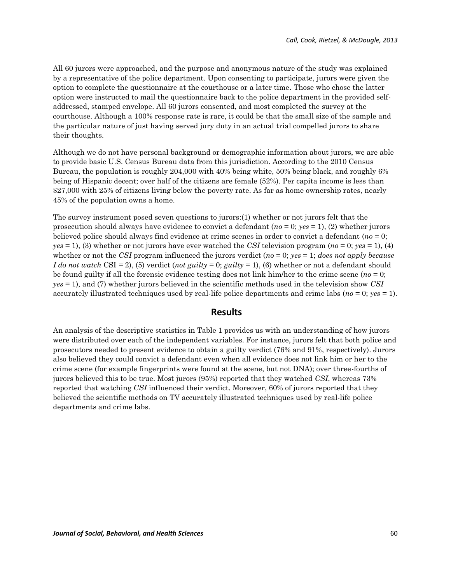All 60 jurors were approached, and the purpose and anonymous nature of the study was explained by a representative of the police department. Upon consenting to participate, jurors were given the option to complete the questionnaire at the courthouse or a later time. Those who chose the latter option were instructed to mail the questionnaire back to the police department in the provided selfaddressed, stamped envelope. All 60 jurors consented, and most completed the survey at the courthouse. Although a 100% response rate is rare, it could be that the small size of the sample and the particular nature of just having served jury duty in an actual trial compelled jurors to share their thoughts.

Although we do not have personal background or demographic information about jurors, we are able to provide basic U.S. Census Bureau data from this jurisdiction. According to the 2010 Census Bureau, the population is roughly 204,000 with 40% being white, 50% being black, and roughly 6% being of Hispanic decent; over half of the citizens are female (52%). Per capita income is less than \$27,000 with 25% of citizens living below the poverty rate. As far as home ownership rates, nearly 45% of the population owns a home.

The survey instrument posed seven questions to jurors:(1) whether or not jurors felt that the prosecution should always have evidence to convict a defendant (*no* = 0; *yes* = 1), (2) whether jurors believed police should always find evidence at crime scenes in order to convict a defendant (*no* = 0; *yes* = 1), (3) whether or not jurors have ever watched the *CSI* television program (*no* = 0; *yes* = 1), (4) whether or not the *CSI* program influenced the jurors verdict (*no* = 0; *yes* = 1; *does not apply because I do not watch* CSI *=* 2), (5) verdict (*not guilty* = 0; *guilty* = 1), (6) whether or not a defendant should be found guilty if all the forensic evidence testing does not link him/her to the crime scene (*no* = 0; *yes* = 1), and (7) whether jurors believed in the scientific methods used in the television show *CSI* accurately illustrated techniques used by real-life police departments and crime labs (*no* = 0; *yes* = 1).

## **Results**

An analysis of the descriptive statistics in Table 1 provides us with an understanding of how jurors were distributed over each of the independent variables. For instance, jurors felt that both police and prosecutors needed to present evidence to obtain a guilty verdict (76% and 91%, respectively). Jurors also believed they could convict a defendant even when all evidence does not link him or her to the crime scene (for example fingerprints were found at the scene, but not DNA); over three-fourths of jurors believed this to be true. Most jurors (95%) reported that they watched *CSI*, whereas 73% reported that watching *CSI* influenced their verdict. Moreover, 60% of jurors reported that they believed the scientific methods on TV accurately illustrated techniques used by real-life police departments and crime labs.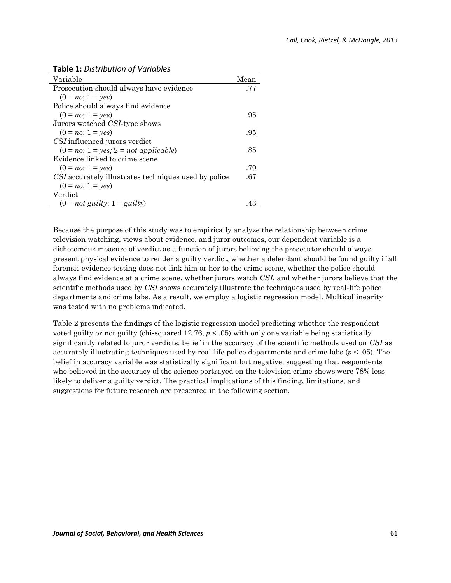|  |  | <b>Table 1: Distribution of Variables</b> |
|--|--|-------------------------------------------|
|--|--|-------------------------------------------|

| Variable                                             | Mean |
|------------------------------------------------------|------|
| Prosecution should always have evidence              | .77  |
| $(0 = no; 1 = yes)$                                  |      |
| Police should always find evidence                   |      |
| $(0 = no; 1 = yes)$                                  | .95  |
| Jurors watched CSI-type shows                        |      |
| $(0 = no; 1 = yes)$                                  | .95  |
| CSI influenced jurors verdict                        |      |
| $(0 = no; 1 = yes; 2 = not applicable)$              | .85  |
| Evidence linked to crime scene                       |      |
| $(0 = no; 1 = yes)$                                  | .79  |
| CSI accurately illustrates techniques used by police |      |
| $(0 = no; 1 = yes)$                                  |      |
| Verdict                                              |      |
| $(0 = not$ guilty; $1 =$ guilty)                     | 4:   |

Because the purpose of this study was to empirically analyze the relationship between crime television watching, views about evidence, and juror outcomes, our dependent variable is a dichotomous measure of verdict as a function of jurors believing the prosecutor should always present physical evidence to render a guilty verdict, whether a defendant should be found guilty if all forensic evidence testing does not link him or her to the crime scene, whether the police should always find evidence at a crime scene, whether jurors watch *CSI*, and whether jurors believe that the scientific methods used by *CSI* shows accurately illustrate the techniques used by real-life police departments and crime labs. As a result, we employ a logistic regression model. Multicollinearity was tested with no problems indicated.

Table 2 presents the findings of the logistic regression model predicting whether the respondent voted guilty or not guilty (chi-squared  $12.76$ ,  $p < .05$ ) with only one variable being statistically significantly related to juror verdicts: belief in the accuracy of the scientific methods used on *CSI* as accurately illustrating techniques used by real-life police departments and crime labs (*p* < .05). The belief in accuracy variable was statistically significant but negative, suggesting that respondents who believed in the accuracy of the science portrayed on the television crime shows were 78% less likely to deliver a guilty verdict. The practical implications of this finding, limitations, and suggestions for future research are presented in the following section.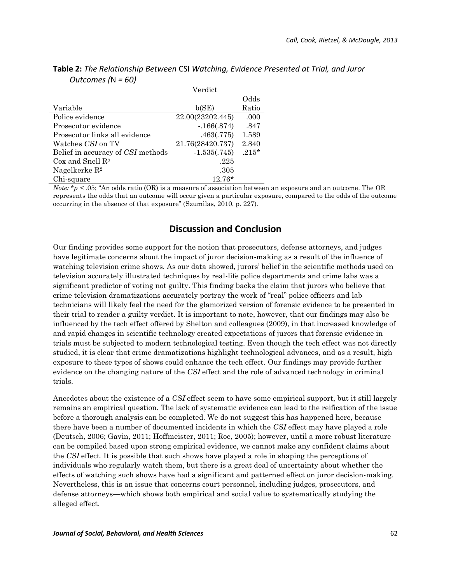|                                   | Verdict          |         |
|-----------------------------------|------------------|---------|
|                                   |                  | Odds    |
| Variable                          | b(SE)            | Ratio   |
| Police evidence                   | 22.00(23202.445) | .000    |
| Prosecutor evidence               | $-166(.874)$     | .847    |
| Prosecutor links all evidence     | .463(.775)       | 1.589   |
| Watches CSI on TV                 | 21.76(28420.737) | 2.840   |
| Belief in accuracy of CSI methods | $-1.535(.745)$   | $.215*$ |
| $\cos$ and Snell $\mathbb{R}^2$   | .225             |         |
| Nagelkerke $\mathbb{R}^2$         | .305             |         |
| Chi-square                        | $12.76*$         |         |

| <b>Table 2:</b> The Relationship Between CSI Watching, Evidence Presented at Trial, and Juror |  |  |
|-----------------------------------------------------------------------------------------------|--|--|
| Outcomes ( $N = 60$ )                                                                         |  |  |

*Note:* \**p < .*05; "An odds ratio (OR) is a measure of association between an exposure and an outcome. The OR represents the odds that an outcome will occur given a particular exposure, compared to the odds of the outcome occurring in the absence of that exposure" (Szumilas, 2010, p. 227).

## **Discussion and Conclusion**

Our finding provides some support for the notion that prosecutors, defense attorneys, and judges have legitimate concerns about the impact of juror decision-making as a result of the influence of watching television crime shows. As our data showed, jurors' belief in the scientific methods used on television accurately illustrated techniques by real-life police departments and crime labs was a significant predictor of voting not guilty. This finding backs the claim that jurors who believe that crime television dramatizations accurately portray the work of "real" police officers and lab technicians will likely feel the need for the glamorized version of forensic evidence to be presented in their trial to render a guilty verdict. It is important to note, however, that our findings may also be influenced by the tech effect offered by Shelton and colleagues (2009), in that increased knowledge of and rapid changes in scientific technology created expectations of jurors that forensic evidence in trials must be subjected to modern technological testing. Even though the tech effect was not directly studied, it is clear that crime dramatizations highlight technological advances, and as a result, high exposure to these types of shows could enhance the tech effect. Our findings may provide further evidence on the changing nature of the *CSI* effect and the role of advanced technology in criminal trials.

Anecdotes about the existence of a *CSI* effect seem to have some empirical support, but it still largely remains an empirical question. The lack of systematic evidence can lead to the reification of the issue before a thorough analysis can be completed. We do not suggest this has happened here, because there have been a number of documented incidents in which the *CSI* effect may have played a role (Deutsch, 2006; Gavin, 2011; Hoffmeister, 2011; Roe, 2005); however, until a more robust literature can be compiled based upon strong empirical evidence, we cannot make any confident claims about the *CSI* effect*.* It is possible that such shows have played a role in shaping the perceptions of individuals who regularly watch them, but there is a great deal of uncertainty about whether the effects of watching such shows have had a significant and patterned effect on juror decision-making. Nevertheless, this is an issue that concerns court personnel, including judges, prosecutors, and defense attorneys—which shows both empirical and social value to systematically studying the alleged effect.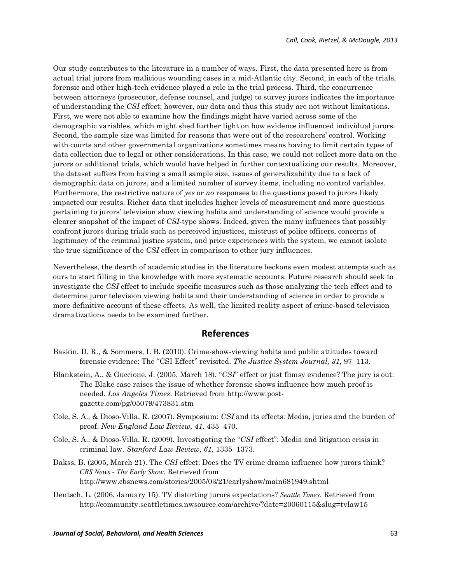Our study contributes to the literature in a number of ways. First, the data presented here is from actual trial jurors from malicious wounding cases in a mid-Atlantic city. Second, in each of the trials, forensic and other high-tech evidence played a role in the trial process. Third, the concurrence between attorneys (prosecutor, defense counsel, and judge) to survey jurors indicates the importance of understanding the *CSI* effect; however, our data and thus this study are not without limitations. First, we were not able to examine how the findings might have varied across some of the demographic variables, which might shed further light on how evidence influenced individual jurors. Second, the sample size was limited for reasons that were out of the researchers' control. Working with courts and other governmental organizations sometimes means having to limit certain types of data collection due to legal or other considerations. In this case, we could not collect more data on the jurors or additional trials, which would have helped in further contextualizing our results. Moreover, the dataset suffers from having a small sample size, issues of generalizability due to a lack of demographic data on jurors, and a limited number of survey items, including no control variables. Furthermore, the restrictive nature of *yes* or *no* responses to the questions posed to jurors likely impacted our results. Richer data that includes higher levels of measurement and more questions pertaining to jurors' television show viewing habits and understanding of science would provide a clearer snapshot of the impact of *CSI-*type shows. Indeed, given the many influences that possibly confront jurors during trials such as perceived injustices, mistrust of police officers, concerns of legitimacy of the criminal justice system, and prior experiences with the system, we cannot isolate the true significance of the *CSI* effect in comparison to other jury influences.

Nevertheless, the dearth of academic studies in the literature beckons even modest attempts such as ours to start filling in the knowledge with more systematic accounts. Future research should seek to investigate the *CSI* effect to include specific measures such as those analyzing the tech effect and to determine juror television viewing habits and their understanding of science in order to provide a more definitive account of these effects. As well, the limited reality aspect of crime-based television dramatizations needs to be examined further.

### **References**

- Baskin, D. R., & Sommers, I. B. (2010). Crime-show-viewing habits and public attitudes toward forensic evidence: The "CSI Effect" revisited. *The Justice System Journal, 31,* 97–113.
- Blankstein, A., & Guccione, J. (2005, March 18). "*CSI*" effect or just flimsy evidence? The jury is out: The Blake case raises the issue of whether forensic shows influence how much proof is needed. *Los Angeles Times*. Retrieved from http://www.postgazette.com/pg/05079/473831.stm
- Cole, S. A., & Dioso-Villa, R. (2007). Symposium: *CSI* and its effects: Media, juries and the burden of proof. *New England Law Review, 41,* 435–470.
- Cole, S. A., & Dioso-Villa, R. (2009). Investigating the "*CSI* effect": Media and litigation crisis in criminal law. *Stanford Law Review, 61,* 1335–1373.
- Dakss, B. (2005, March 21). The *CSI* effect: Does the TV crime drama influence how jurors think? *CBS News - The Early Show*. Retrieved from http://www.cbsnews.com/stories/2005/03/21/earlyshow/main681949.shtml
- Deutsch, L. (2006, January 15). TV distorting jurors expectations? *Seattle Times*. Retrieved from http://community.seattletimes.nwsource.com/archive/?date=20060115&slug=tvlaw15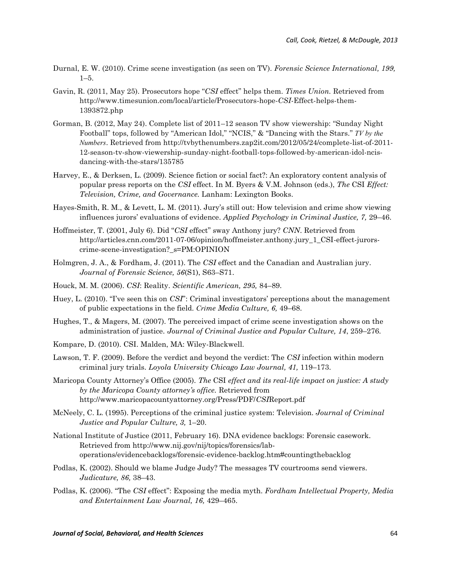- Durnal, E. W. (2010). Crime scene investigation (as seen on TV). *Forensic Science International, 199,* 1–5.
- Gavin, R. (2011, May 25). Prosecutors hope "*CSI* effect" helps them. *Times Union.* Retrieved from http://www.timesunion.com/local/article/Prosecutors-hope-*CSI*-Effect-helps-them-1393872.php
- Gorman, B. (2012, May 24). Complete list of 2011–12 season TV show viewership: "Sunday Night Football" tops, followed by "American Idol," "NCIS," & "Dancing with the Stars." *TV by the Numbers*. Retrieved from http://tvbythenumbers.zap2it.com/2012/05/24/complete-list-of-2011- 12-season-tv-show-viewership-sunday-night-football-tops-followed-by-american-idol-ncisdancing-with-the-stars/135785
- Harvey, E., & Derksen, L. (2009). Science fiction or social fact?: An exploratory content analysis of popular press reports on the *CSI* effect. In M. Byers & V.M. Johnson (eds.), *The* CSI *Effect: Television, Crime, and Governance.* Lanham: Lexington Books.
- Hayes-Smith, R. M., & Levett, L. M. (2011). Jury's still out: How television and crime show viewing influences jurors' evaluations of evidence. *Applied Psychology in Criminal Justice, 7,* 29–46.
- Hoffmeister, T. (2001, July 6). Did "*CSI* effect" sway Anthony jury? *CNN*. Retrieved from http://articles.cnn.com/2011-07-06/opinion/hoffmeister.anthony.jury\_1\_CSI-effect-jurorscrime-scene-investigation?\_s=PM:OPINION
- Holmgren, J. A., & Fordham, J. (2011). The *CSI* effect and the Canadian and Australian jury. *Journal of Forensic Science, 56*(S1), S63–S71.
- Houck, M. M. (2006). *CSI*: Reality. *Scientific American, 295,* 84–89.
- Huey, L. (2010). "I've seen this on *CSI*": Criminal investigators' perceptions about the management of public expectations in the field. *Crime Media Culture, 6,* 49–68.
- Hughes, T., & Magers, M. (2007). The perceived impact of crime scene investigation shows on the administration of justice. *Journal of Criminal Justice and Popular Culture, 14*, 259–276.
- Kompare, D. (2010). CSI. Malden, MA: Wiley-Blackwell.
- Lawson, T. F. (2009). Before the verdict and beyond the verdict: The *CSI* infection within modern criminal jury trials. *Loyola University Chicago Law Journal, 41,* 119–173.
- Maricopa County Attorney's Office (2005). *The* CSI *effect and its real-life impact on justice: A study by the Maricopa County attorney's office.* Retrieved from http://www.maricopacountyattorney.org/Press/PDF/*CSI*Report.pdf
- McNeely, C. L. (1995). Perceptions of the criminal justice system: Television. *Journal of Criminal Justice and Popular Culture, 3,* 1–20.
- National Institute of Justice (2011, February 16). DNA evidence backlogs: Forensic casework. Retrieved from http://www.nij.gov/nij/topics/forensics/laboperations/evidencebacklogs/forensic-evidence-backlog.htm#countingthebacklog
- Podlas, K. (2002). Should we blame Judge Judy? The messages TV courtrooms send viewers. *Judicature, 86,* 38–43.
- Podlas, K. (2006). "The *CSI* effect": Exposing the media myth. *Fordham Intellectual Property, Media and Entertainment Law Journal, 16,* 429–465.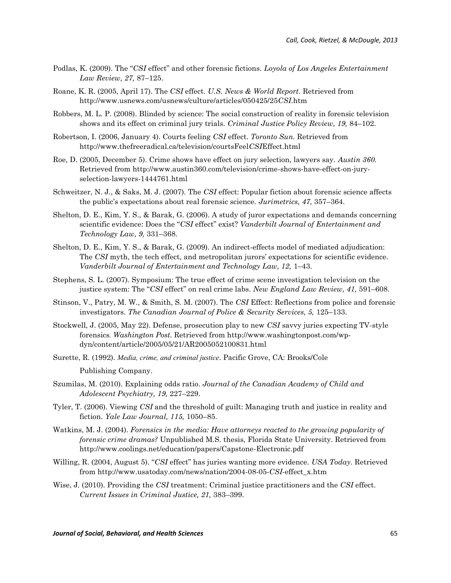- Podlas, K. (2009). The "*CSI* effect" and other forensic fictions. *Loyola of Los Angeles Entertainment Law Review, 27,* 87–125.
- Roane, K. R. (2005, April 17). The *CSI* effect. *U.S. News & World Report.* Retrieved from http://www.usnews.com/usnews/culture/articles/050425/25*CSI*.htm
- Robbers, M. L. P. (2008). Blinded by science: The social construction of reality in forensic television shows and its effect on criminal jury trials. *Criminal Justice Policy Review, 19,* 84–102.
- Robertson, I. (2006, January 4). Courts feeling *CSI* effect. *Toronto Sun.* Retrieved from http://www.thefreeradical.ca/television/courtsFeel*CSI*Effect.html
- Roe, D. (2005, December 5). Crime shows have effect on jury selection, lawyers say. *Austin 360.* Retrieved from http://www.austin360.com/television/crime-shows-have-effect-on-juryselection-lawyers-1444761.html
- Schweitzer, N. J., & Saks, M. J. (2007). The *CSI* effect: Popular fiction about forensic science affects the public's expectations about real forensic science. *Jurimetrics, 47,* 357–364.
- Shelton, D. E., Kim, Y. S., & Barak, G. (2006). A study of juror expectations and demands concerning scientific evidence: Does the "*CSI* effect" exist? *Vanderbilt Journal of Entertainment and Technology Law, 9,* 331–368.
- Shelton, D. E., Kim, Y. S., & Barak, G. (2009). An indirect-effects model of mediated adjudication: The *CSI* myth, the tech effect, and metropolitan jurors' expectations for scientific evidence. *Vanderbilt Journal of Entertainment and Technology Law, 12,* 1–43.
- Stephens, S. L. (2007). Symposium: The true effect of crime scene investigation television on the justice system: The "*CSI* effect" on real crime labs. *New England Law Review, 41,* 591–608.
- Stinson, V., Patry, M. W., & Smith, S. M. (2007). The *CSI* Effect: Reflections from police and forensic investigators. *The Canadian Journal of Police & Security Services, 5,* 125–133.
- Stockwell, J. (2005, May 22). Defense, prosecution play to new *CSI* savvy juries expecting TV-style forensics*. Washington Post.* Retrieved from http://www.washingtonpost.com/wpdyn/content/article/2005/05/21/AR2005052100831.html
- Surette, R. (1992). *Media, crime, and criminal justice*. Pacific Grove, CA: Brooks/Cole Publishing Company.
- Szumilas, M. (2010). Explaining odds ratio. *Journal of the Canadian Academy of Child and Adolescent Psychiatry, 19,* 227–229.
- Tyler, T. (2006). Viewing *CSI* and the threshold of guilt: Managing truth and justice in reality and fiction. *Yale Law Journal, 115,* 1050–85.
- Watkins, M. J. (2004). *Forensics in the media: Have attorneys reacted to the growing popularity of forensic crime dramas?* Unpublished M.S. thesis, Florida State University. Retrieved from http://www.coolings.net/education/papers/Capstone-Electronic.pdf
- Willing, R. (2004, August 5). "*CSI* effect" has juries wanting more evidence. *USA Today.* Retrieved from http://www.usatoday.com/news/nation/2004-08-05-*CSI*-effect\_x.htm
- Wise, J. (2010). Providing the *CSI* treatment: Criminal justice practitioners and the *CSI* effect. *Current Issues in Criminal Justice, 21,* 383–399.